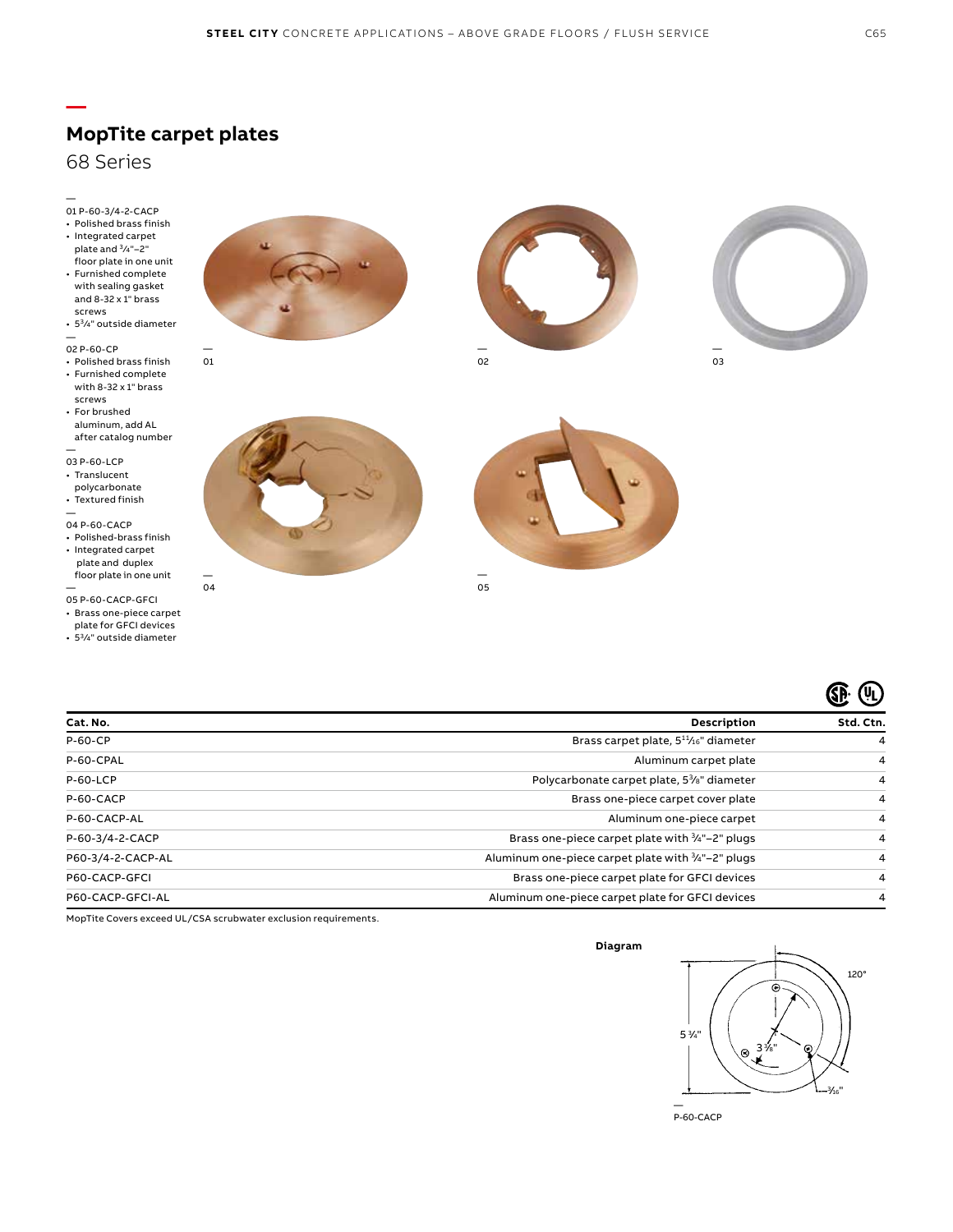

01

### 68 Series

**—**

— 01 P-60-3/4-2-CACP

- Polished brass finish
- Integrated carpet
- plate and 3/4"-2" floor plate in one unit • Furnished complete with sealing gasket and 8-32 x 1" brass
- screws •  $5\frac{3}{4}$ " outside diameter

— 02 P-60-CP

- Polished brass finish
- Furnished complete with 8-32 x 1" brass screws
- For brushed aluminum, add AL after catalog number
- —

03 P-60-LCP

- Translucent
- polycarbonate • Textured finish
- —

04 P-60-CACP

• Polished-brass finish • Integrated carpet plate and duplex floor plate in one unit

— 05 P-60-CACP-GFCI

- Brass one-piece carpet
- plate for GFCI devices
- 53 ⁄4" outside diameter















MopTite Covers exceed UL/CSA scrubwater exclusion requirements.

#### **Diagram**



P-60-CACP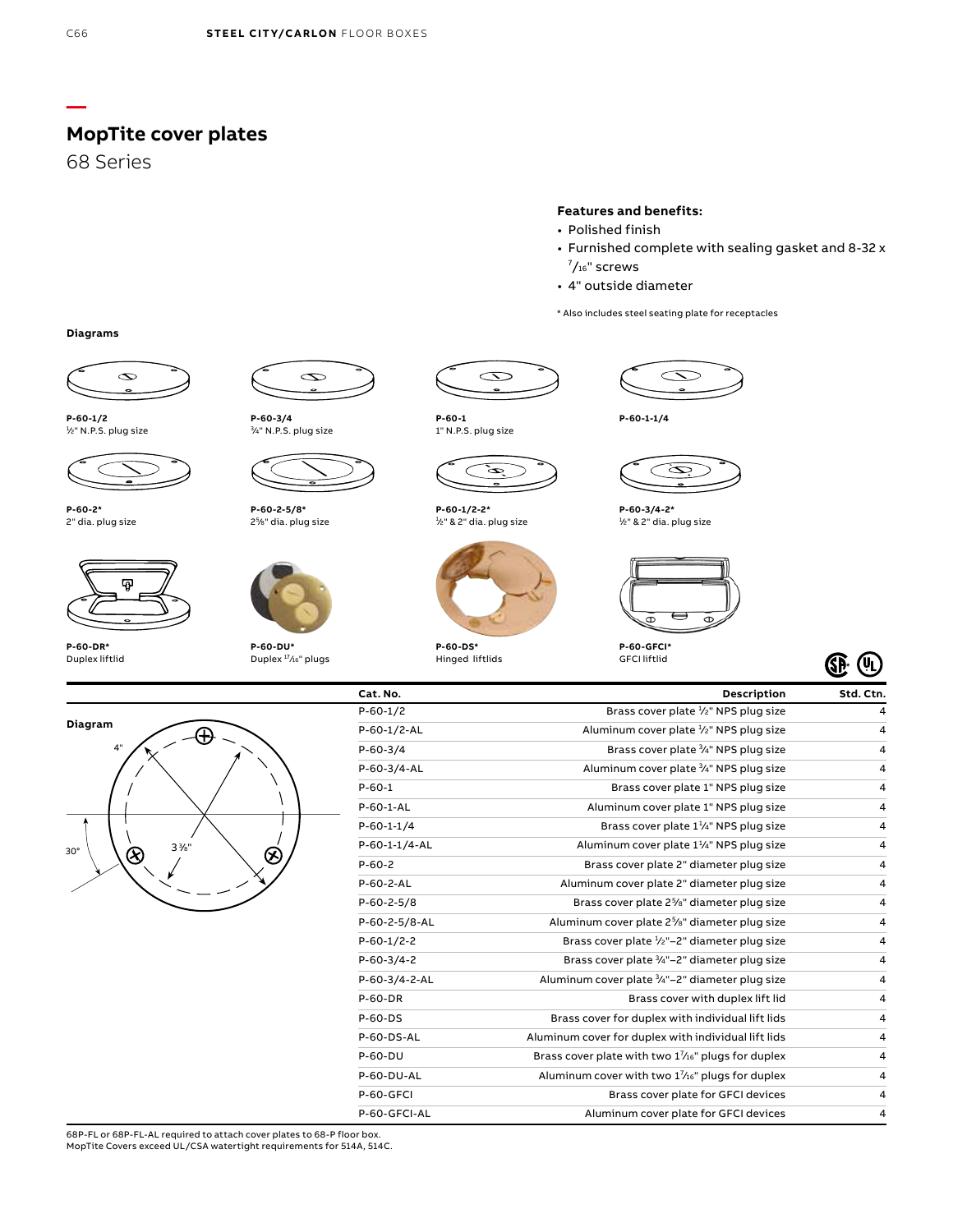**MopTite cover plates**

68 Series

#### **Features and benefits:**

- Polished finish
- Furnished complete with sealing gasket and 8-32 x  $\frac{7}{16}$ " screws
- 4" outside diameter

\* Also includes steel seating plate for receptacles

**Diagrams**



**P-60-1/2** 1 ⁄2" N.P.S. plug size



**P-60-2\*** 2" dia. plug size



**P-60-DR\*** Duplex liftlid



3/4" N.P.S. plug size



**P-60-2-5/8\*** 25 ⁄8" dia. plug size



Duplex 17⁄16" plugs





 $\infty$ 

**P-60-1/2-2\*** 1 ⁄2" & 2" dia. plug size



Hinged liftlids





**P-60-3/4-2\*** 1 ⁄2" & 2" dia. plug size



GFCI liftlid



| Diagram<br>4" |         |
|---------------|---------|
|               |         |
| $30^{\circ}$  | $3\%$ " |

| Cat. No.      | <b>Description</b>                                                   | Std. Ctn. |
|---------------|----------------------------------------------------------------------|-----------|
| $P-60-1/2$    | Brass cover plate <sup>1</sup> / <sub>2</sub> " NPS plug size        | 4         |
| $P-60-1/2-AL$ | Aluminum cover plate 1/2" NPS plug size                              | 4         |
| $P-60-3/4$    | Brass cover plate 3/4" NPS plug size                                 | 4         |
| P-60-3/4-AL   | Aluminum cover plate <sup>3</sup> / <sub>4</sub> " NPS plug size     | 4         |
| $P - 60 - 1$  | Brass cover plate 1" NPS plug size                                   | 4         |
| $P-60-1-AL$   | Aluminum cover plate 1" NPS plug size                                | 4         |
| $P-60-1-1/4$  | Brass cover plate $1\frac{1}{4}$ " NPS plug size                     | 4         |
| P-60-1-1/4-AL | Aluminum cover plate 1 <sup>1</sup> / <sub>4</sub> " NPS plug size   | 4         |
| $P-60-2$      | Brass cover plate 2" diameter plug size                              | 4         |
| P-60-2-AL     | Aluminum cover plate 2" diameter plug size                           | 4         |
| $P-60-2-5/8$  | Brass cover plate 2 <sup>5</sup> / <sub>8</sub> " diameter plug size | 4         |
| P-60-2-5/8-AL | Aluminum cover plate $2\frac{5}{8}$ " diameter plug size             | 4         |
| $P-60-1/2-2$  | Brass cover plate $\frac{1}{2}$ "-2" diameter plug size              | 4         |
| $P-60-3/4-2$  | Brass cover plate 3/4"-2" diameter plug size                         | 4         |
| P-60-3/4-2-AL | Aluminum cover plate 3/4"-2" diameter plug size                      | 4         |
| P-60-DR       | Brass cover with duplex lift lid                                     | 4         |
| $P-60-DS$     | Brass cover for duplex with individual lift lids                     | 4         |
| P-60-DS-AL    | Aluminum cover for duplex with individual lift lids                  | 4         |
| $P-60-DU$     | Brass cover plate with two 11/16" plugs for duplex                   | 4         |
| P-60-DU-AL    | Aluminum cover with two $1\frac{7}{16}$ " plugs for duplex           | 4         |
| P-60-GFCI     | Brass cover plate for GFCI devices                                   | 4         |
| P-60-GFCI-AL  | Aluminum cover plate for GFCI devices                                | 4         |

68P-FL or 68P-FL-AL required to attach cover plates to 68-P floor box. MopTite Covers exceed UL/CSA watertight requirements for 514A, 514C.

**—**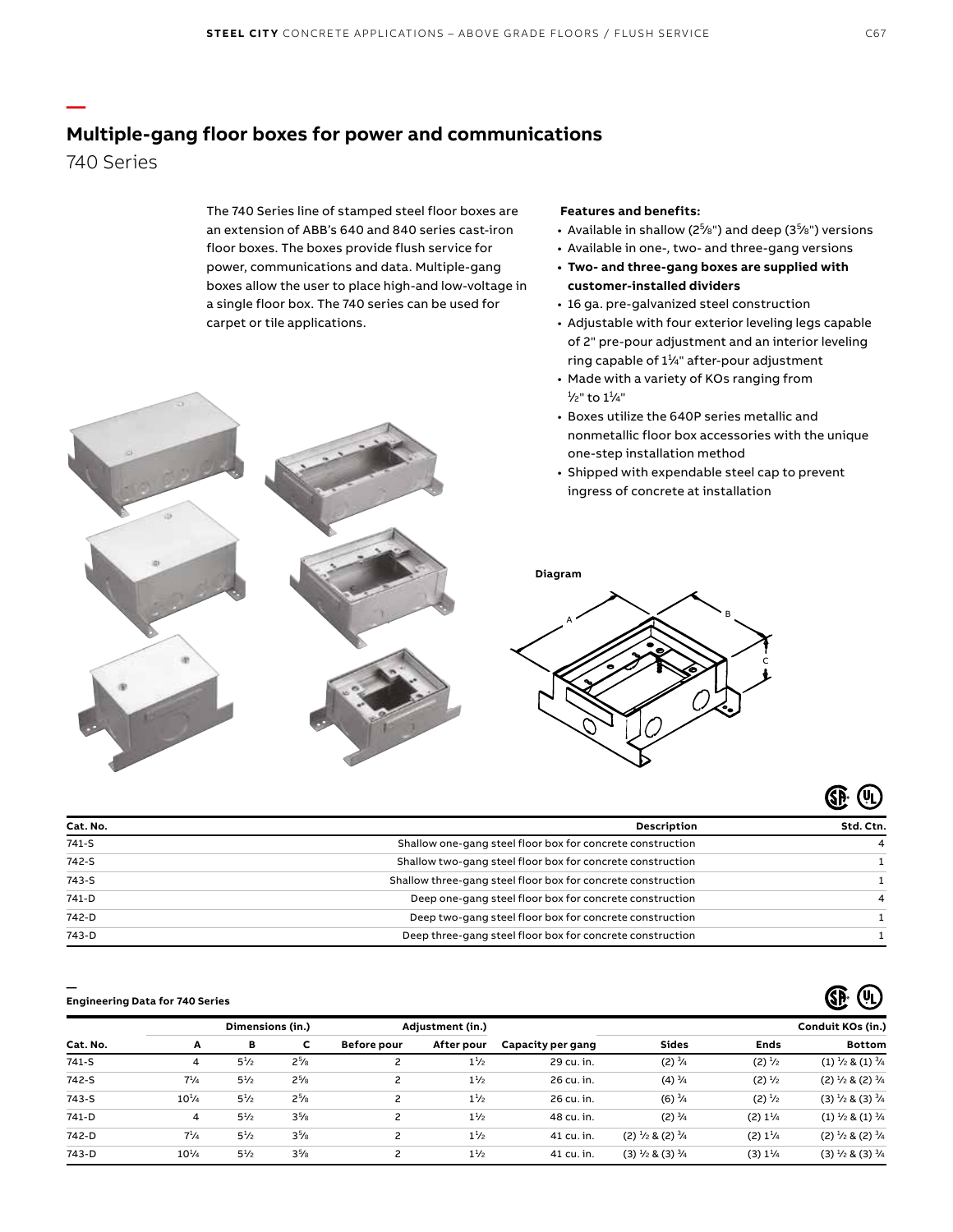# **Multiple-gang floor boxes for power and communications**

740 Series

**—**

The 740 Series line of stamped steel floor boxes are an extension of ABB's 640 and 840 series cast-iron floor boxes. The boxes provide flush service for power, communications and data. Multiple-gang boxes allow the user to place high-and low-voltage in a single floor box. The 740 series can be used for carpet or tile applications.

#### **Features and benefits:**

A

- Available in shallow (2<sup>5</sup>/8") and deep (3<sup>5</sup>/8") versions
- Available in one-, two- and three-gang versions
- **• Two- and three-gang boxes are supplied with customer-installed dividers**
- 16 ga. pre-galvanized steel construction
- Adjustable with four exterior leveling legs capable of 2" pre-pour adjustment and an interior leveling ring capable of  $1\frac{1}{4}$ " after-pour adjustment
- Made with a variety of KOs ranging from <sup>1</sup>/2" to 1<sup>1</sup>/4"
- Boxes utilize the 640P series metallic and nonmetallic floor box accessories with the unique one-step installation method

B

C

• Shipped with expendable steel cap to prevent ingress of concrete at installation



# $GP$   $($

**GP (4)** 

| Cat. No. | <b>Description</b>                                           | Std. Ctn. |
|----------|--------------------------------------------------------------|-----------|
| $741-S$  | Shallow one-gang steel floor box for concrete construction   |           |
| 742-S    | Shallow two-gang steel floor box for concrete construction   |           |
| 743-S    | Shallow three-gang steel floor box for concrete construction |           |
| 741-D    | Deep one-gang steel floor box for concrete construction      |           |
| 742-D    | Deep two-gang steel floor box for concrete construction      |           |
| 743-D    | Deep three-gang steel floor box for concrete construction    |           |

#### **— Engineering Data for 740 Series**

|           |                | Dimensions (in.) |           |                    | Adjustment (in.) |                   |                                       |                                   | Conduit KOs (in.)                         |
|-----------|----------------|------------------|-----------|--------------------|------------------|-------------------|---------------------------------------|-----------------------------------|-------------------------------------------|
| Cat. No.  | A              | в                | c         | <b>Before pour</b> | After pour       | Capacity per gang | <b>Sides</b>                          | Ends                              | <b>Bottom</b>                             |
| $741-S$   | 4              | $5^{1/2}$        | $2^{5}/8$ |                    | $1\frac{1}{2}$   | 29 cu. in.        | $(2) \frac{3}{4}$                     | $(2) \frac{1}{2}$                 | $(1)$ $\frac{1}{2}$ & $(1)$ $\frac{3}{4}$ |
| 742-S     | $7^{1/4}$      | $5^{1/2}$        | $2^{5}/8$ | 2                  | $1\frac{1}{2}$   | 26 cu. in.        | $(4) \frac{3}{4}$                     | $(2) \frac{1}{2}$                 | $(2)$ $\frac{1}{2}$ & $(2)$ $\frac{3}{4}$ |
| $743 - S$ | $10^{1/4}$     | $5^{1}/2$        | $2^{5}/8$ | $\overline{c}$     | $1\frac{1}{2}$   | 26 cu. in.        | $(6) \frac{3}{4}$                     | (2) <sup>1</sup> / <sub>2</sub>   | $(3) \frac{1}{2}$ & $(3) \frac{3}{4}$     |
| 741-D     | $\overline{4}$ | $5^{1}/2$        | $3^{5}/8$ | $\overline{c}$     | $1\frac{1}{2}$   | 48 cu. in.        | $(2) \frac{3}{4}$                     | (2) 1 <sup>1</sup> / <sub>4</sub> | $(1)$ $\frac{1}{2}$ & $(1)$ $\frac{3}{4}$ |
| 742-D     | $7^{1}/_{4}$   | $5^{1/2}$        | $3^{5}/8$ | $\overline{c}$     | $1\frac{1}{2}$   | 41 cu. in.        | $(2) \frac{1}{2}$ & $(2) \frac{3}{4}$ | (2) 1 <sup>1</sup> / <sub>4</sub> | $(2)$ $\frac{1}{2}$ & $(2)$ $\frac{3}{4}$ |
| 743-D     | $10^{1/4}$     | $5^{1}/2$        | $3^{5}/8$ | 2                  | $1\frac{1}{2}$   | 41 cu. in.        | $(3) \frac{1}{2}$ & $(3) \frac{3}{4}$ | (3) 1 <sup>1</sup> / <sub>4</sub> | $(3)$ $\frac{1}{2}$ & $(3)$ $\frac{3}{4}$ |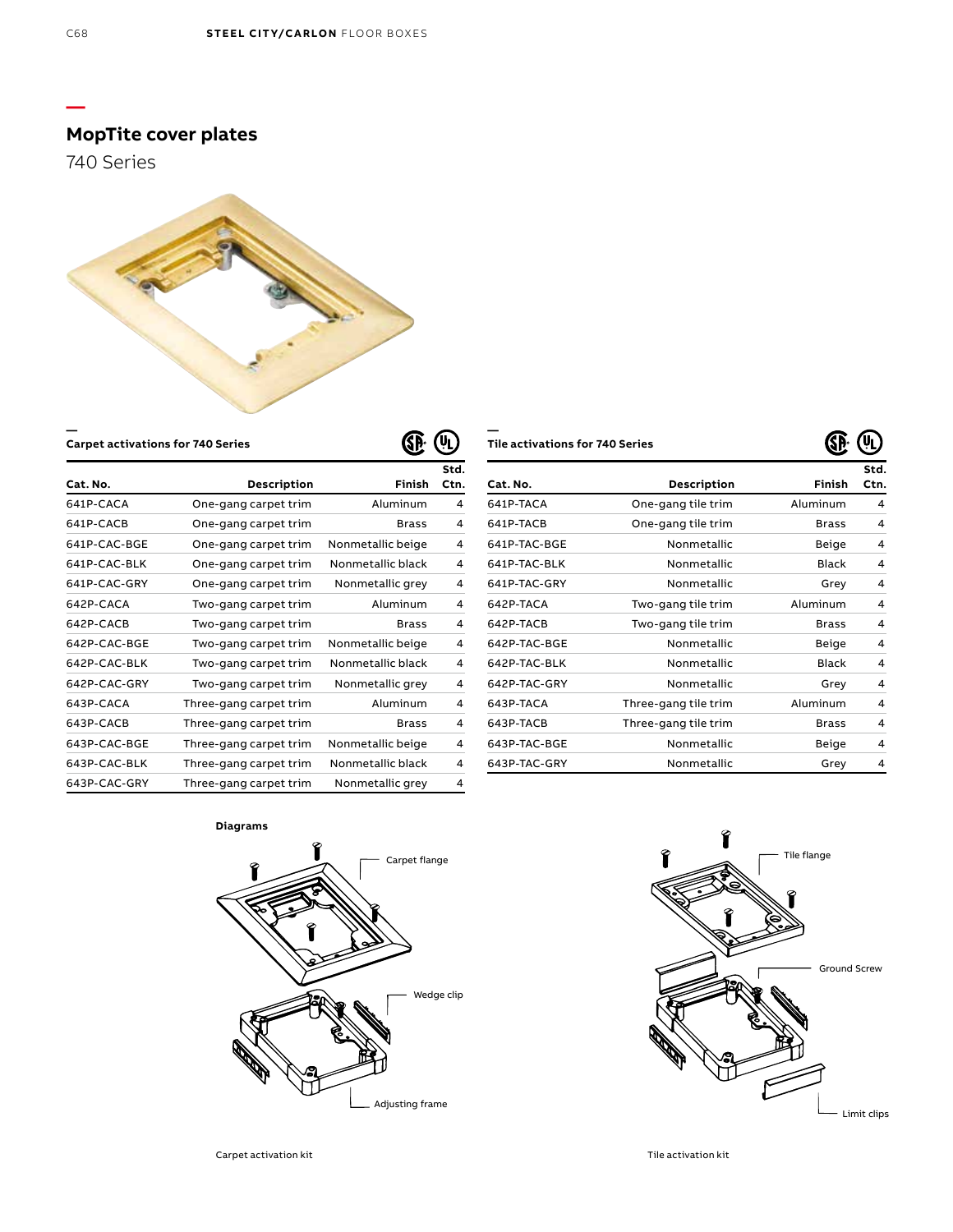**—**

# **MopTite cover plates**

740 Series



**Carpet activations for 740 Series**

| ٠<br>r.<br>₹<br>۰ | Ш<br>١r |
|-------------------|---------|
|-------------------|---------|

**—**

| Tile activations for 740 Series |  |
|---------------------------------|--|
|---------------------------------|--|

|              |                        |                   | Std. |
|--------------|------------------------|-------------------|------|
| Cat. No.     | Description            | <b>Finish</b>     | Ctn. |
| 641P-CACA    | One-gang carpet trim   | Aluminum          | 4    |
| 641P-CACB    | One-gang carpet trim   | <b>Brass</b>      | 4    |
| 641P-CAC-BGE | One-gang carpet trim   | Nonmetallic beige | 4    |
| 641P-CAC-BLK | One-gang carpet trim   | Nonmetallic black | 4    |
| 641P-CAC-GRY | One-gang carpet trim   | Nonmetallic grey  | 4    |
| 642P-CACA    | Two-gang carpet trim   | Aluminum          | 4    |
| 642P-CACB    | Two-gang carpet trim   | <b>Brass</b>      | 4    |
| 642P-CAC-BGE | Two-gang carpet trim   | Nonmetallic beige | 4    |
| 642P-CAC-BLK | Two-gang carpet trim   | Nonmetallic black | 4    |
| 642P-CAC-GRY | Two-gang carpet trim   | Nonmetallic grey  | 4    |
| 643P-CACA    | Three-gang carpet trim | Aluminum          | 4    |
| 643P-CACB    | Three-gang carpet trim | <b>Brass</b>      | 4    |
| 643P-CAC-BGE | Three-gang carpet trim | Nonmetallic beige | 4    |
| 643P-CAC-BLK | Three-gang carpet trim | Nonmetallic black | 4    |
| 643P-CAC-GRY | Three-gang carpet trim | Nonmetallic grey  | 4    |

|              |                      | w            |              |
|--------------|----------------------|--------------|--------------|
| Cat. No.     | Description          | Finish       | Std.<br>Ctn. |
| 641P-TACA    | One-gang tile trim   | Aluminum     | 4            |
| 641P-TACB    | One-gang tile trim   | <b>Brass</b> | 4            |
| 641P-TAC-BGE | Nonmetallic          | <b>Beige</b> | 4            |
| 641P-TAC-BLK | Nonmetallic          | <b>Black</b> | 4            |
| 641P-TAC-GRY | Nonmetallic          | Grey         | 4            |
| 642P-TACA    | Two-gang tile trim   | Aluminum     | 4            |
| 642P-TACB    | Two-gang tile trim   | <b>Brass</b> | 4            |
| 642P-TAC-BGE | Nonmetallic          | <b>Beige</b> | 4            |
| 642P-TAC-BLK | Nonmetallic          | <b>Black</b> | 4            |
| 642P-TAC-GRY | Nonmetallic          | Grey         | 4            |
| 643P-TACA    | Three-gang tile trim | Aluminum     | 4            |
| 643P-TACB    | Three-gang tile trim | <b>Brass</b> | 4            |
| 643P-TAC-BGE | Nonmetallic          | <b>Beige</b> | 4            |
| 643P-TAC-GRY | Nonmetallic          | Grey         | 4            |

**Diagrams**





 $\mathbb{G}$   $\mathbb{G}$ 

 $\label{eq:ex1} \textsf{Carpet activation kit} \begin{minipage}{14cm} \begin{tabular}{l} \textbf{Carpet activation kit} \end{tabular} \end{minipage}$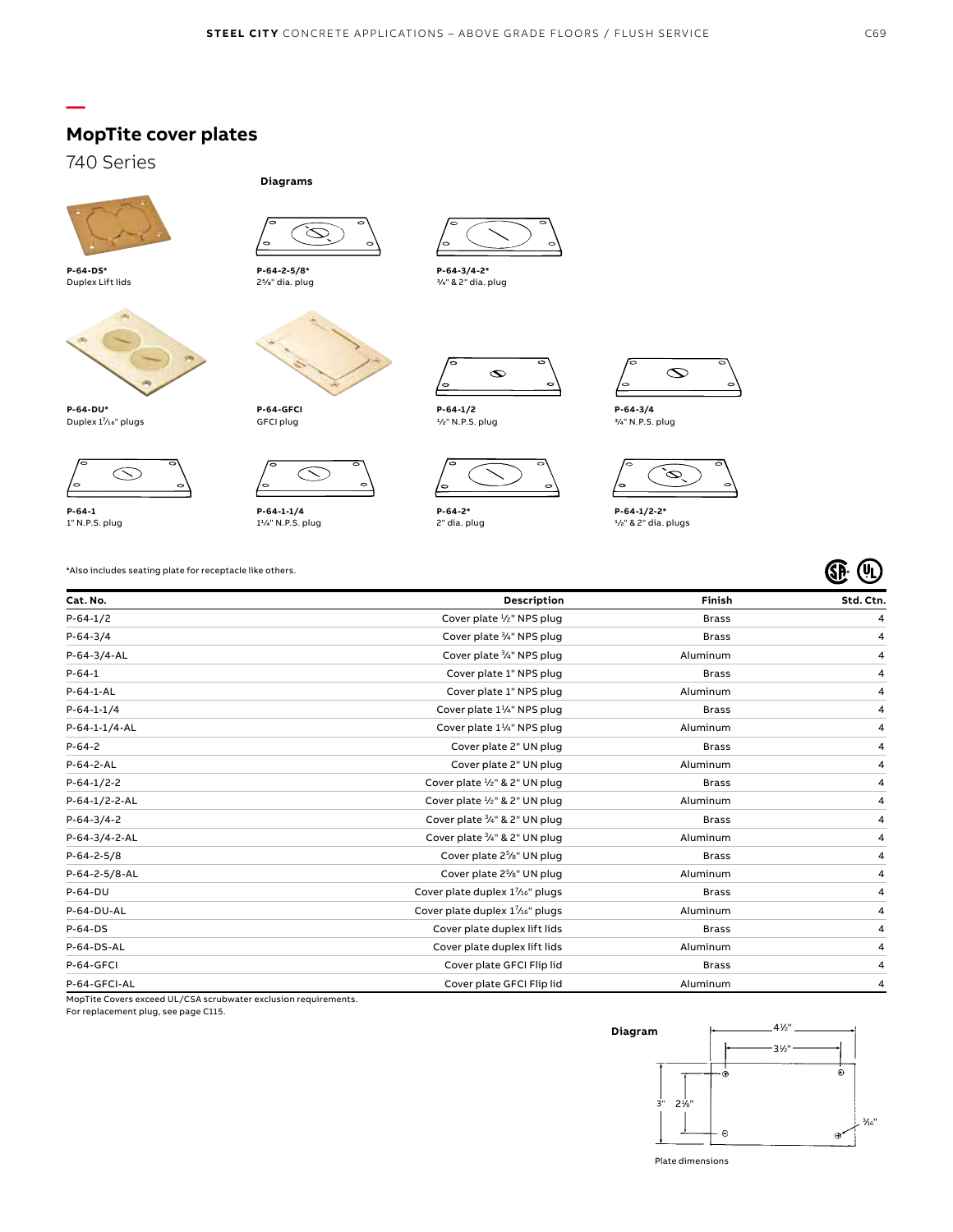

740 Series

**—**



**P-64-DS\*** Duplex Lift lids



**P-64-DU\*** Duplex 11/<sub>16</sub>" plugs



**P-64-1** 1" N.P.S. plug





 $\varnothing$ 

**P-64-GFCI** GFCI plug

**Diagrams**



**P-64-1-1/4**<br>1¼" N.P.S. plug



**P-64-3/4-2\*** 3⁄4" & 2" dia. plug



**P-64-1/2** 1⁄2" N.P.S. plug



**P-64-2\*** 2" dia. plug



**P-64-3/4** 3⁄4" N.P.S. plug



**P-64-1/2-2\*** 1⁄2" & 2" dia. plugs

\*Also includes seating plate for receptacle like others.

| Cat. No.      | <b>Description</b>                                   | Finish       | Std. Ctn. |
|---------------|------------------------------------------------------|--------------|-----------|
| $P-64-1/2$    | Cover plate $\frac{1}{2}$ " NPS plug                 | <b>Brass</b> | 4         |
| $P-64-3/4$    | Cover plate 3/4" NPS plug                            | <b>Brass</b> | 4         |
| P-64-3/4-AL   | Cover plate 3/4" NPS plug                            | Aluminum     | 4         |
| $P - 64 - 1$  | Cover plate 1" NPS plug                              | <b>Brass</b> | 4         |
| P-64-1-AL     | Cover plate 1" NPS plug                              | Aluminum     | 4         |
| $P-64-1-1/4$  | Cover plate 1 <sup>1</sup> / <sub>4</sub> " NPS plug | <b>Brass</b> | 4         |
| P-64-1-1/4-AL | Cover plate $1\frac{1}{4}$ " NPS plug                | Aluminum     | 4         |
| $P-64-2$      | Cover plate 2" UN plug                               | <b>Brass</b> | 4         |
| P-64-2-AL     | Cover plate 2" UN plug                               | Aluminum     | 4         |
| $P-64-1/2-2$  | Cover plate 1/2" & 2" UN plug                        | <b>Brass</b> | 4         |
| P-64-1/2-2-AL | Cover plate $\frac{1}{2}$ " & 2" UN plug             | Aluminum     | 4         |
| $P-64-3/4-2$  | Cover plate 3/4" & 2" UN plug                        | <b>Brass</b> | 4         |
| P-64-3/4-2-AL | Cover plate 3/4" & 2" UN plug                        | Aluminum     | 4         |
| $P-64-2-5/8$  | Cover plate 2 <sup>5</sup> /8" UN plug               | <b>Brass</b> | 4         |
| P-64-2-5/8-AL | Cover plate 2 <sup>5</sup> /8" UN plug               | Aluminum     | 4         |
| P-64-DU       | Cover plate duplex 17/16" plugs                      | <b>Brass</b> | 4         |
| P-64-DU-AL    | Cover plate duplex 17/16" plugs                      | Aluminum     | 4         |
| $P-64-DS$     | Cover plate duplex lift lids                         | <b>Brass</b> | 4         |
| P-64-DS-AL    | Cover plate duplex lift lids                         | Aluminum     | 4         |
| P-64-GFCI     | Cover plate GFCI Flip lid                            | <b>Brass</b> | 4         |
| P-64-GFCI-AL  | Cover plate GFCI Flip lid                            | Aluminum     | 4         |

MopTite Covers exceed UL/CSA scrubwater exclusion requirements.

For replacement plug, see page C115.



Plate dimensions

**E** 4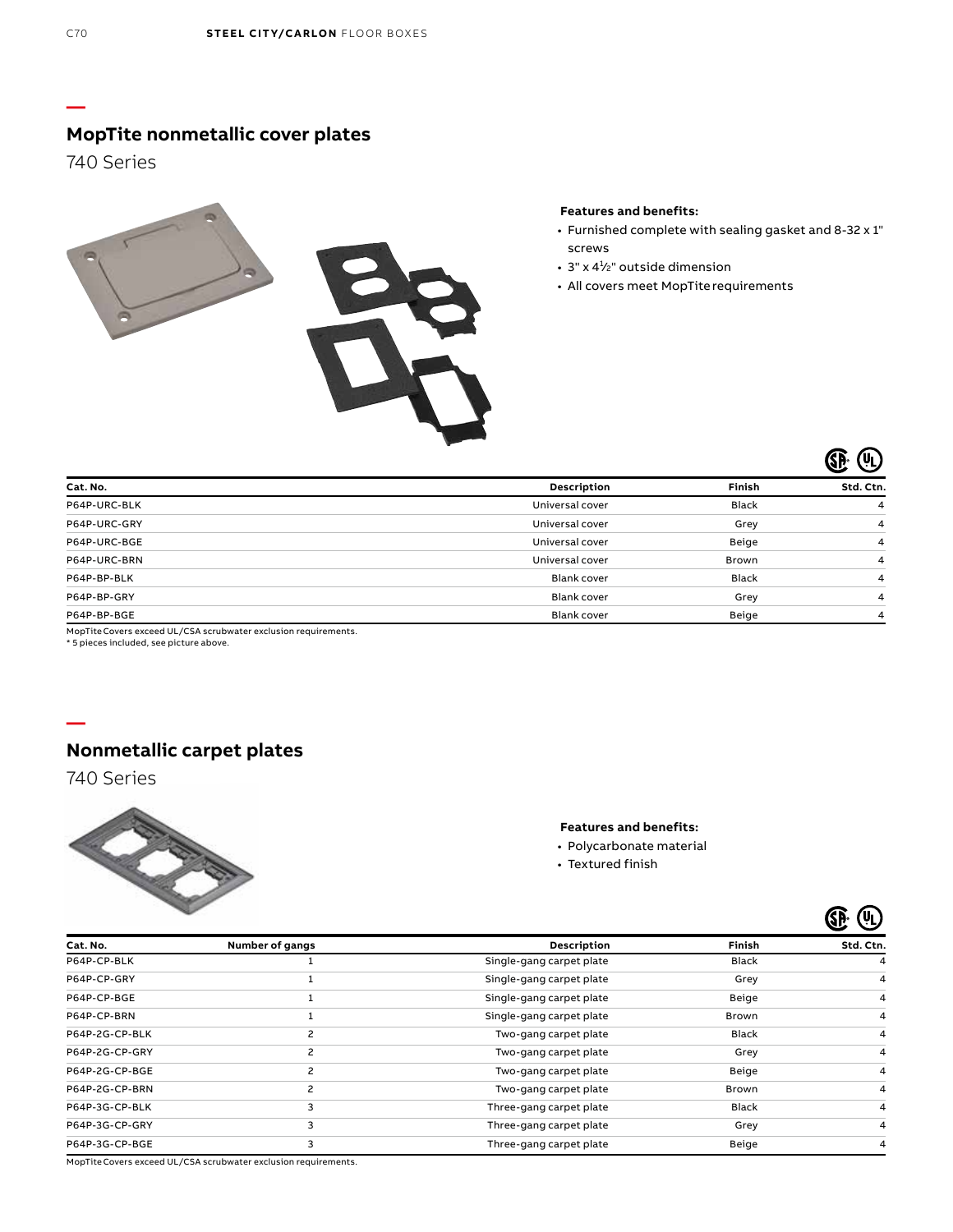**—**

# **MopTite nonmetallic cover plates**

740 Series



#### **Features and benefits:**

- Furnished complete with sealing gasket and 8-32 x 1" screws
- $\cdot$  3" x 4½" outside dimension
- All covers meet MopTite requirements

|              | ∽                  |              | $(\mathsf{u_L})$ |
|--------------|--------------------|--------------|------------------|
| Cat. No.     | Description        | Finish       | Std. Ctn.        |
| P64P-URC-BLK | Universal cover    | <b>Black</b> | 4                |
| P64P-URC-GRY | Universal cover    | Grey         | 4                |
| P64P-URC-BGE | Universal cover    | Beige        | 4                |
| P64P-URC-BRN | Universal cover    | Brown        | 4                |
| P64P-BP-BLK  | <b>Blank cover</b> | <b>Black</b> | 4                |
| P64P-BP-GRY  | <b>Blank cover</b> | Grey         | 4                |
| P64P-BP-BGE  | <b>Blank cover</b> | Beige        | 4                |
|              |                    |              |                  |

MopTite Covers exceed UL/CSA scrubwater exclusion requirements.

\* 5 pieces included, see picture above.



# **Nonmetallic carpet plates**

740 Series



#### **Features and benefits:**

- Polycarbonate material
- Textured finish

|                |                 |                          |              | (VL)      |
|----------------|-----------------|--------------------------|--------------|-----------|
| Cat. No.       | Number of gangs | Description              | Finish       | Std. Ctn. |
| P64P-CP-BLK    |                 | Single-gang carpet plate | <b>Black</b> | 4         |
| P64P-CP-GRY    |                 | Single-gang carpet plate | Grey         | 4         |
| P64P-CP-BGE    |                 | Single-gang carpet plate | Beige        | 4         |
| P64P-CP-BRN    |                 | Single-gang carpet plate | Brown        | 4         |
| P64P-2G-CP-BLK | 2               | Two-gang carpet plate    | Black        | 4         |
| P64P-2G-CP-GRY | 2               | Two-gang carpet plate    | Grey         | 4         |
| P64P-2G-CP-BGE | $\overline{c}$  | Two-gang carpet plate    | Beige        | 4         |
| P64P-2G-CP-BRN | 2               | Two-gang carpet plate    | Brown        | 4         |
| P64P-3G-CP-BLK | 3               | Three-gang carpet plate  | Black        | 4         |
| P64P-3G-CP-GRY | 3               | Three-gang carpet plate  | Grey         | 4         |
| P64P-3G-CP-BGE | 3               | Three-gang carpet plate  | Beige        | 4         |

MopTiteCovers exceed UL/CSA scrubwater exclusion requirements.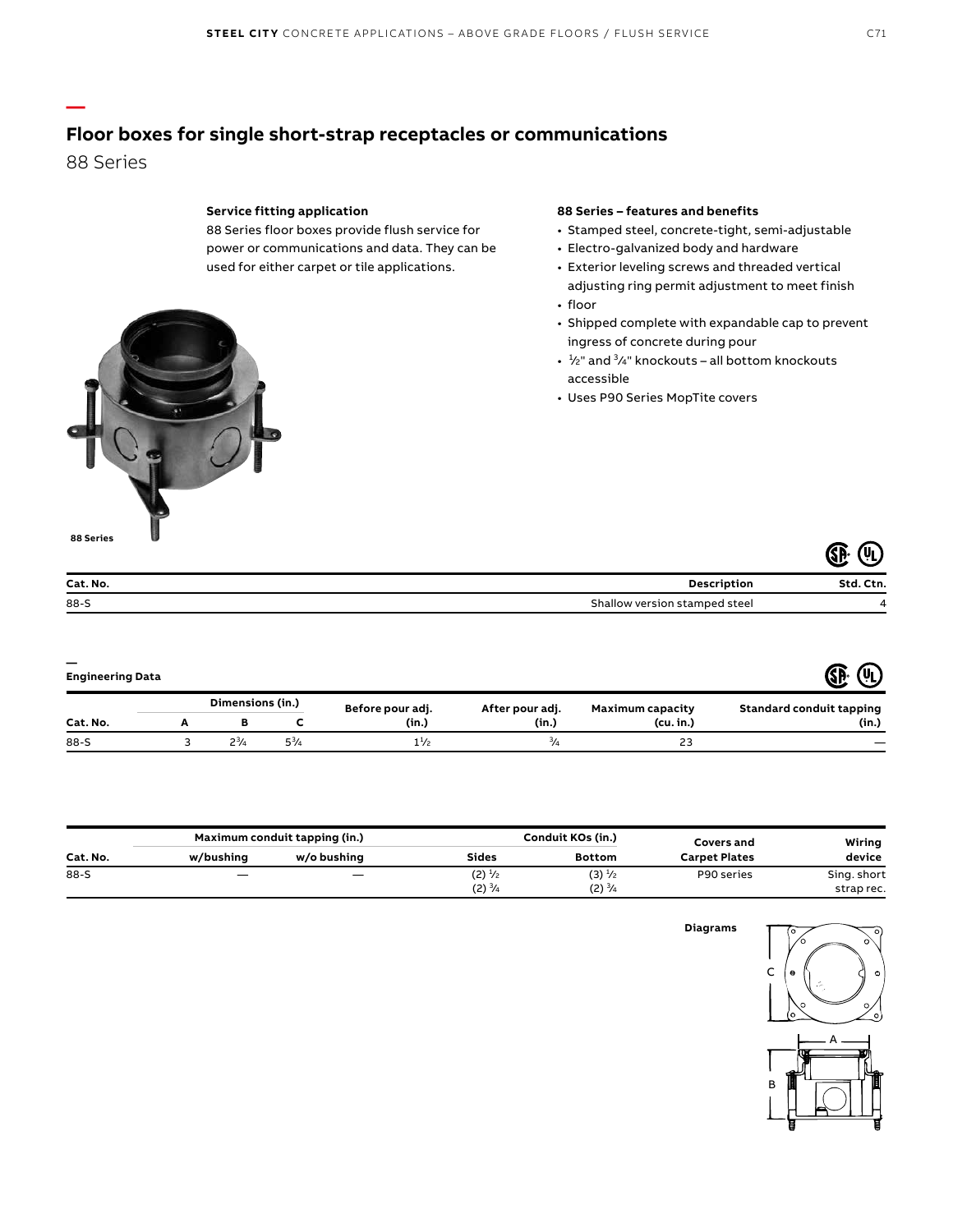## **Floor boxes for single short-strap receptacles or communications**

88 Series

**—**

#### **Service fitting application**

88 Series floor boxes provide flush service for power or communications and data. They can be used for either carpet or tile applications.

#### **88 Series – features and benefits**

- Stamped steel, concrete-tight, semi-adjustable
- Electro-galvanized body and hardware
- Exterior leveling screws and threaded vertical adjusting ring permit adjustment to meet finish
- floor
- Shipped complete with expandable cap to prevent ingress of concrete during pour
- $\cdot$   $\frac{1}{2}$ " and  $\frac{3}{4}$ " knockouts all bottom knockouts accessible
- Uses P90 Series MopTite covers



|          | ∽                             |           |  |
|----------|-------------------------------|-----------|--|
| Cat. No. | Description                   | Std. Ctn. |  |
| $88-S$   | Shallow version stamped steel |           |  |

| <b>Engineering Data</b> |  |                  |           |                  |                 |                  |                                 |
|-------------------------|--|------------------|-----------|------------------|-----------------|------------------|---------------------------------|
|                         |  | Dimensions (in.) |           | Before pour adj. | After pour adj. | Maximum capacity | <b>Standard conduit tapping</b> |
| Cat. No.                |  |                  |           | (in.)            | (in.)           | (cu, in.)        | (in.)                           |
| $88-S$                  |  | $2^{3}/4$        | $5^{3}/4$ | $1\frac{1}{2}$   | $\frac{3}{4}$   | 23               |                                 |

|          | Maximum conduit tapping (in.) |                          | Conduit KOs (in.) |                   | Covers and           | Wiring      |
|----------|-------------------------------|--------------------------|-------------------|-------------------|----------------------|-------------|
| Cat. No. | w/bushing                     | w/o bushing              | <b>Sides</b>      | <b>Bottom</b>     | <b>Carpet Plates</b> | device      |
| 88-S     |                               | $\overline{\phantom{m}}$ | $(2) \frac{1}{2}$ | $(3) \frac{1}{2}$ | P90 series           | Sing. short |
|          |                               |                          | $(2) \frac{3}{4}$ | $(2) \frac{3}{4}$ |                      | strap rec.  |